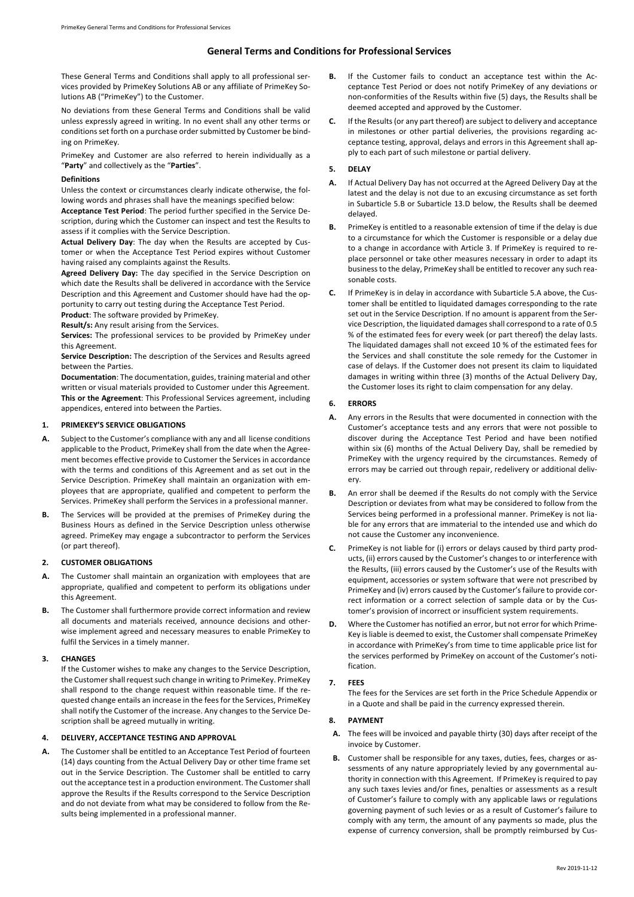# **General Terms and Conditions for Professional Services**

These General Terms and Conditions shall apply to all professional services provided by PrimeKey Solutions AB or any affiliate of PrimeKey Solutions AB ("PrimeKey") to the Customer.

No deviations from these General Terms and Conditions shall be valid unless expressly agreed in writing. In no event shall any other terms or conditions set forth on a purchase order submitted by Customer be binding on PrimeKey.

PrimeKey and Customer are also referred to herein individually as a "**Party**" and collectively as the "**Parties**".

#### **Definitions**

Unless the context or circumstances clearly indicate otherwise, the following words and phrases shall have the meanings specified below:

**Acceptance Test Period**: The period further specified in the Service Description, during which the Customer can inspect and test the Results to assess if it complies with the Service Description.

**Actual Delivery Day**: The day when the Results are accepted by Customer or when the Acceptance Test Period expires without Customer having raised any complaints against the Results.

**Agreed Delivery Day:** The day specified in the Service Description on which date the Results shall be delivered in accordance with the Service Description and this Agreement and Customer should have had the opportunity to carry out testing during the Acceptance Test Period.

**Product**: The software provided by PrimeKey.

**Result/s:** Any result arising from the Services.

**Services:** The professional services to be provided by PrimeKey under this Agreement.

**Service Description:** The description of the Services and Results agreed between the Parties.

**Documentation**: The documentation, guides, training material and other written or visual materials provided to Customer under this Agreement. **This or the Agreement**: This Professional Services agreement, including appendices, entered into between the Parties.

# **1. PRIMEKEY'S SERVICE OBLIGATIONS**

- **A.** Subject to the Customer's compliance with any and all license conditions applicable to the Product, PrimeKey shall from the date when the Agreement becomes effective provide to Customer the Services in accordance with the terms and conditions of this Agreement and as set out in the Service Description. PrimeKey shall maintain an organization with employees that are appropriate, qualified and competent to perform the Services. PrimeKey shall perform the Services in a professional manner.
- **B.** The Services will be provided at the premises of PrimeKey during the Business Hours as defined in the Service Description unless otherwise agreed. PrimeKey may engage a subcontractor to perform the Services (or part thereof).

### **2. CUSTOMER OBLIGATIONS**

- **A.** The Customer shall maintain an organization with employees that are appropriate, qualified and competent to perform its obligations under this Agreement.
- **B.** The Customer shall furthermore provide correct information and review all documents and materials received, announce decisions and otherwise implement agreed and necessary measures to enable PrimeKey to fulfil the Services in a timely manner.

#### **3. CHANGES**

If the Customer wishes to make any changes to the Service Description, the Customer shall request such change in writing to PrimeKey. PrimeKey shall respond to the change request within reasonable time. If the requested change entails an increase in the fees for the Services, PrimeKey shall notify the Customer of the increase. Any changes to the Service Description shall be agreed mutually in writing.

#### **4. DELIVERY, ACCEPTANCE TESTING AND APPROVAL**

**A.** The Customer shall be entitled to an Acceptance Test Period of fourteen (14) days counting from the Actual Delivery Day or other time frame set out in the Service Description. The Customer shall be entitled to carry out the acceptance test in a production environment. The Customer shall approve the Results if the Results correspond to the Service Description and do not deviate from what may be considered to follow from the Results being implemented in a professional manner.

- **B.** If the Customer fails to conduct an acceptance test within the Acceptance Test Period or does not notify PrimeKey of any deviations or non-conformities of the Results within five (5) days, the Results shall be deemed accepted and approved by the Customer.
- **C.** If the Results (or any part thereof) are subject to delivery and acceptance in milestones or other partial deliveries, the provisions regarding acceptance testing, approval, delays and errors in this Agreement shall apply to each part of such milestone or partial delivery.

### **5. DELAY**

- **A.** If Actual Delivery Day has not occurred at the Agreed Delivery Day at the latest and the delay is not due to an excusing circumstance as set forth in Subarticle 5.B or Subarticle 13.D below, the Results shall be deemed delayed.
- **B.** PrimeKey is entitled to a reasonable extension of time if the delay is due to a circumstance for which the Customer is responsible or a delay due to a change in accordance with Article 3. If PrimeKey is required to replace personnel or take other measures necessary in order to adapt its business to the delay, PrimeKey shall be entitled to recover any such reasonable costs.
- **C.** If PrimeKey is in delay in accordance with Subarticle 5.A above, the Customer shall be entitled to liquidated damages corresponding to the rate set out in the Service Description. If no amount is apparent from the Service Description, the liquidated damages shall correspond to a rate of 0.5 % of the estimated fees for every week (or part thereof) the delay lasts. The liquidated damages shall not exceed 10 % of the estimated fees for the Services and shall constitute the sole remedy for the Customer in case of delays. If the Customer does not present its claim to liquidated damages in writing within three (3) months of the Actual Delivery Day, the Customer loses its right to claim compensation for any delay.

### **6. ERRORS**

- **A.** Any errors in the Results that were documented in connection with the Customer's acceptance tests and any errors that were not possible to discover during the Acceptance Test Period and have been notified within six (6) months of the Actual Delivery Day, shall be remedied by PrimeKey with the urgency required by the circumstances. Remedy of errors may be carried out through repair, redelivery or additional delivery.
- **B.** An error shall be deemed if the Results do not comply with the Service Description or deviates from what may be considered to follow from the Services being performed in a professional manner. PrimeKey is not liable for any errors that are immaterial to the intended use and which do not cause the Customer any inconvenience.
- **C.** PrimeKey is not liable for (i) errors or delays caused by third party products, (ii) errors caused by the Customer's changes to or interference with the Results, (iii) errors caused by the Customer's use of the Results with equipment, accessories or system software that were not prescribed by PrimeKey and (iv) errors caused by the Customer's failure to provide correct information or a correct selection of sample data or by the Customer's provision of incorrect or insufficient system requirements.
- **D.** Where the Customer has notified an error, but not error for which Prime-Key is liable is deemed to exist, the Customer shall compensate PrimeKey in accordance with PrimeKey's from time to time applicable price list for the services performed by PrimeKey on account of the Customer's notification.

### **7. FEES**

The fees for the Services are set forth in the Price Schedule Appendix or in a Quote and shall be paid in the currency expressed therein.

### **8. PAYMENT**

- **A.** The fees will be invoiced and payable thirty (30) days after receipt of the invoice by Customer.
- **B.** Customer shall be responsible for any taxes, duties, fees, charges or assessments of any nature appropriately levied by any governmental authority in connection with this Agreement. If PrimeKey is required to pay any such taxes levies and/or fines, penalties or assessments as a result of Customer's failure to comply with any applicable laws or regulations governing payment of such levies or as a result of Customer's failure to comply with any term, the amount of any payments so made, plus the expense of currency conversion, shall be promptly reimbursed by Cus-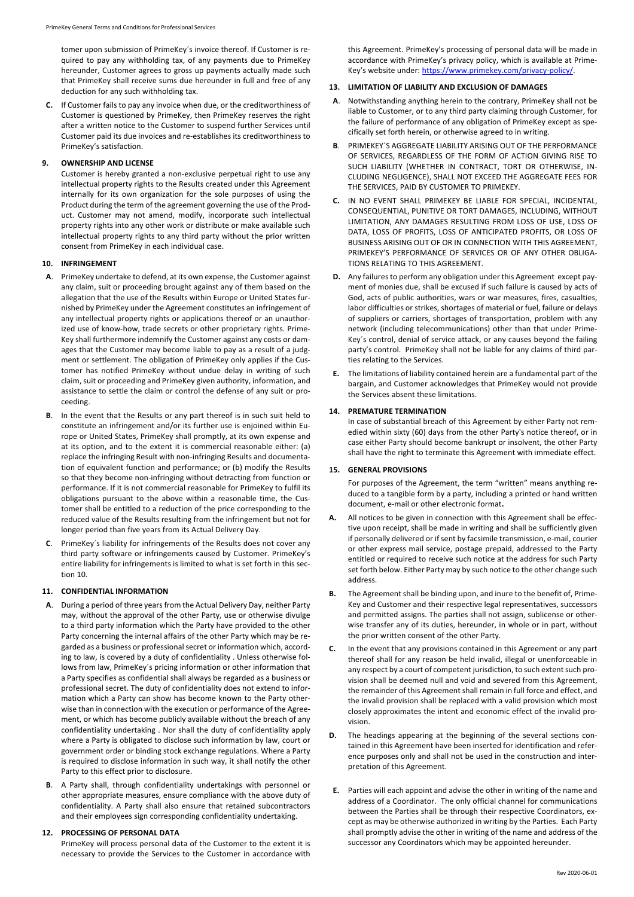tomer upon submission of PrimeKey´s invoice thereof. If Customer is required to pay any withholding tax, of any payments due to PrimeKey hereunder, Customer agrees to gross up payments actually made such that PrimeKey shall receive sums due hereunder in full and free of any deduction for any such withholding tax.

**C.** If Customer fails to pay any invoice when due, or the creditworthiness of Customer is questioned by PrimeKey, then PrimeKey reserves the right after a written notice to the Customer to suspend further Services until Customer paid its due invoices and re-establishes its creditworthiness to PrimeKey's satisfaction.

#### **9. OWNERSHIP AND LICENSE**

Customer is hereby granted a non-exclusive perpetual right to use any intellectual property rights to the Results created under this Agreement internally for its own organization for the sole purposes of using the Product during the term of the agreement governing the use of the Product. Customer may not amend, modify, incorporate such intellectual property rights into any other work or distribute or make available such intellectual property rights to any third party without the prior written consent from PrimeKey in each individual case.

#### **10. INFRINGEMENT**

- **A**. PrimeKey undertake to defend, at its own expense, the Customer against any claim, suit or proceeding brought against any of them based on the allegation that the use of the Results within Europe or United States furnished by PrimeKey under the Agreement constitutes an infringement of any intellectual property rights or applications thereof or an unauthorized use of know-how, trade secrets or other proprietary rights. Prime-Key shall furthermore indemnify the Customer against any costs or damages that the Customer may become liable to pay as a result of a judgment or settlement. The obligation of PrimeKey only applies if the Customer has notified PrimeKey without undue delay in writing of such claim, suit or proceeding and PrimeKey given authority, information, and assistance to settle the claim or control the defense of any suit or proceeding.
- **B**. In the event that the Results or any part thereof is in such suit held to constitute an infringement and/or its further use is enjoined within Europe or United States, PrimeKey shall promptly, at its own expense and at its option, and to the extent it is commercial reasonable either: (a) replace the infringing Result with non-infringing Results and documentation of equivalent function and performance; or (b) modify the Results so that they become non-infringing without detracting from function or performance. If it is not commercial reasonable for PrimeKey to fulfil its obligations pursuant to the above within a reasonable time, the Customer shall be entitled to a reduction of the price corresponding to the reduced value of the Results resulting from the infringement but not for longer period than five years from its Actual Delivery Day.
- **C**. PrimeKey´s liability for infringements of the Results does not cover any third party software or infringements caused by Customer. PrimeKey's entire liability for infringements is limited to what is set forth in this section 10.

### **11. CONFIDENTIAL INFORMATION**

- **A**. During a period of three years from the Actual Delivery Day, neither Party may, without the approval of the other Party, use or otherwise divulge to a third party information which the Party have provided to the other Party concerning the internal affairs of the other Party which may be regarded as a business or professional secret or information which, according to law, is covered by a duty of confidentiality . Unless otherwise follows from law, PrimeKey´s pricing information or other information that a Party specifies as confidential shall always be regarded as a business or professional secret. The duty of confidentiality does not extend to information which a Party can show has become known to the Party otherwise than in connection with the execution or performance of the Agreement, or which has become publicly available without the breach of any confidentiality undertaking . Nor shall the duty of confidentiality apply where a Party is obligated to disclose such information by law, court or government order or binding stock exchange regulations. Where a Party is required to disclose information in such way, it shall notify the other Party to this effect prior to disclosure.
- **B**. A Party shall, through confidentiality undertakings with personnel or other appropriate measures, ensure compliance with the above duty of confidentiality. A Party shall also ensure that retained subcontractors and their employees sign corresponding confidentiality undertaking.

### **12. PROCESSING OF PERSONAL DATA**

PrimeKey will process personal data of the Customer to the extent it is necessary to provide the Services to the Customer in accordance with

this Agreement. PrimeKey's processing of personal data will be made in accordance with PrimeKey's privacy policy, which is available at Prime-Key's website under: https://www.primekey.com/privacy-policy/.

# **13. LIMITATION OF LIABILITY AND EXCLUSION OF DAMAGES**

- **A**. Notwithstanding anything herein to the contrary, PrimeKey shall not be liable to Customer, or to any third party claiming through Customer, for the failure of performance of any obligation of PrimeKey except as specifically set forth herein, or otherwise agreed to in writing.
- **B**. PRIMEKEY´S AGGREGATE LIABILITY ARISING OUT OF THE PERFORMANCE OF SERVICES, REGARDLESS OF THE FORM OF ACTION GIVING RISE TO SUCH LIABILITY (WHETHER IN CONTRACT, TORT OR OTHERWISE, IN-CLUDING NEGLIGENCE), SHALL NOT EXCEED THE AGGREGATE FEES FOR THE SERVICES, PAID BY CUSTOMER TO PRIMEKEY.
- **C.** IN NO EVENT SHALL PRIMEKEY BE LIABLE FOR SPECIAL, INCIDENTAL, CONSEQUENTIAL, PUNITIVE OR TORT DAMAGES, INCLUDING, WITHOUT LIMITATION, ANY DAMAGES RESULTING FROM LOSS OF USE, LOSS OF DATA, LOSS OF PROFITS, LOSS OF ANTICIPATED PROFITS, OR LOSS OF BUSINESS ARISING OUT OF OR IN CONNECTION WITH THIS AGREEMENT, PRIMEKEY'S PERFORMANCE OF SERVICES OR OF ANY OTHER OBLIGA-TIONS RELATING TO THIS AGREEMENT.
- **D.** Any failures to perform any obligation under this Agreement except payment of monies due, shall be excused if such failure is caused by acts of God, acts of public authorities, wars or war measures, fires, casualties, labor difficulties or strikes, shortages of material or fuel, failure or delays of suppliers or carriers, shortages of transportation, problem with any network (including telecommunications) other than that under Prime-Key´s control, denial of service attack, or any causes beyond the failing party's control. PrimeKey shall not be liable for any claims of third parties relating to the Services.
- **E.** The limitations of liability contained herein are a fundamental part of the bargain, and Customer acknowledges that PrimeKey would not provide the Services absent these limitations.

#### **14. PREMATURE TERMINATION**

In case of substantial breach of this Agreement by either Party not remedied within sixty (60) days from the other Party's notice thereof, or in case either Party should become bankrupt or insolvent, the other Party shall have the right to terminate this Agreement with immediate effect.

#### **15. GENERAL PROVISIONS**

For purposes of the Agreement, the term "written" means anything reduced to a tangible form by a party, including a printed or hand written document, e-mail or other electronic format**.** 

- **A.** All notices to be given in connection with this Agreement shall be effective upon receipt, shall be made in writing and shall be sufficiently given if personally delivered or if sent by facsimile transmission, e-mail, courier or other express mail service, postage prepaid, addressed to the Party entitled or required to receive such notice at the address for such Party set forth below. Either Party may by such notice to the other change such address.
- **B.** The Agreement shall be binding upon, and inure to the benefit of, Prime-Key and Customer and their respective legal representatives, successors and permitted assigns. The parties shall not assign, sublicense or otherwise transfer any of its duties, hereunder, in whole or in part, without the prior written consent of the other Party.
- **C.** In the event that any provisions contained in this Agreement or any part thereof shall for any reason be held invalid, illegal or unenforceable in any respect by a court of competent jurisdiction, to such extent such provision shall be deemed null and void and severed from this Agreement, the remainder of this Agreement shall remain in full force and effect, and the invalid provision shall be replaced with a valid provision which most closely approximates the intent and economic effect of the invalid provision.
- The headings appearing at the beginning of the several sections contained in this Agreement have been inserted for identification and reference purposes only and shall not be used in the construction and interpretation of this Agreement.
- **E.** Parties will each appoint and advise the other in writing of the name and address of a Coordinator. The only official channel for communications between the Parties shall be through their respective Coordinators, except as may be otherwise authorized in writing by the Parties. Each Party shall promptly advise the other in writing of the name and address of the successor any Coordinators which may be appointed hereunder.